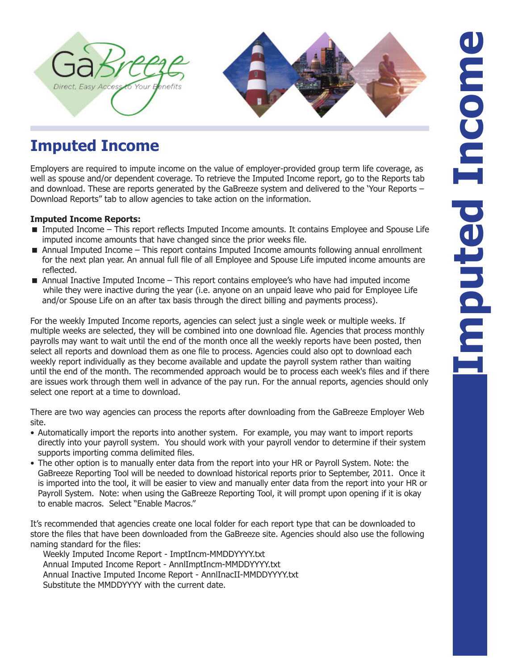

## **Imputed Income**

Your F

nefits

Employers are required to impute income on the value of employer-provided group term life coverage, as well as spouse and/or dependent coverage. To retrieve the Imputed Income report, go to the Reports tab and download. These are reports generated by the GaBreeze system and delivered to the 'Your Reports – Download Reports" tab to allow agencies to take action on the information.

## **Imputed Income Reports:**

- Imputed Income This report reflects Imputed Income amounts. It contains Employee and Spouse Life imputed income amounts that have changed since the prior weeks file.
- Annual Imputed Income This report contains Imputed Income amounts following annual enrollment for the next plan year. An annual full file of all Employee and Spouse Life imputed income amounts are reflected.
- Annual Inactive Imputed Income This report contains employee's who have had imputed income while they were inactive during the year (i.e. anyone on an unpaid leave who paid for Employee Life and/or Spouse Life on an after tax basis through the direct billing and payments process).

For the weekly Imputed Income reports, agencies can select just a single week or multiple weeks. If multiple weeks are selected, they will be combined into one download file. Agencies that process monthly payrolls may want to wait until the end of the month once all the weekly reports have been posted, then select all reports and download them as one file to process. Agencies could also opt to download each weekly report individually as they become available and update the payroll system rather than waiting until the end of the month. The recommended approach would be to process each week's files and if there are issues work through them well in advance of the pay run. For the annual reports, agencies should only select one report at a time to download.

There are two way agencies can process the reports after downloading from the GaBreeze Employer Web site.

- Automatically import the reports into another system. For example, you may want to import reports directly into your payroll system. You should work with your payroll vendor to determine if their system supports importing comma delimited files.
- The other option is to manually enter data from the report into your HR or Payroll System. Note: the GaBreeze Reporting Tool will be needed to download historical reports prior to September, 2011. Once it is imported into the tool, it will be easier to view and manually enter data from the report into your HR or Payroll System. Note: when using the GaBreeze Reporting Tool, it will prompt upon opening if it is okay to enable macros. Select "Enable Macros."

It's recommended that agencies create one local folder for each report type that can be downloaded to store the files that have been downloaded from the GaBreeze site. Agencies should also use the following naming standard for the files:

Weekly Imputed Income Report - ImptIncm-MMDDYYYY.txt Annual Imputed Income Report - AnnlImptIncm-MMDDYYYY.txt Annual Inactive Imputed Income Report - AnnlInacII-MMDDYYYY.txt Substitute the MMDDYYYY with the current date.